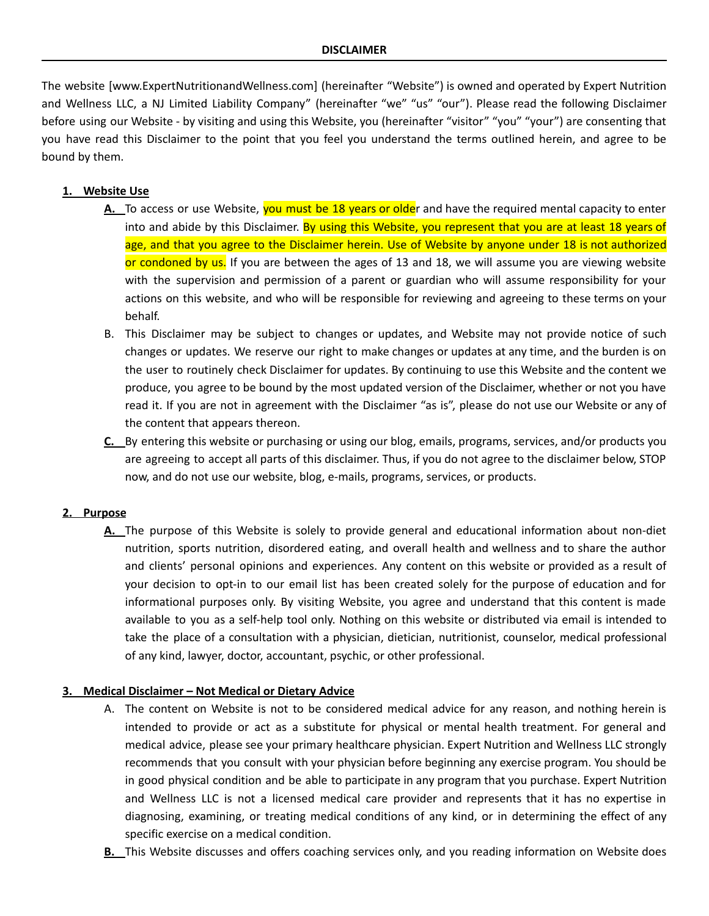The website [www.ExpertNutritionandWellness.com] (hereinafter "Website") is owned and operated by Expert Nutrition and Wellness LLC, a NJ Limited Liability Company" (hereinafter "we" "us" "our"). Please read the following Disclaimer before using our Website - by visiting and using this Website, you (hereinafter "visitor" "you" "your") are consenting that you have read this Disclaimer to the point that you feel you understand the terms outlined herein, and agree to be bound by them.

# **1. Website Use**

- **A.** To access or use Website, you must be 18 years or older and have the required mental capacity to enter into and abide by this Disclaimer. By using this Website, you represent that you are at least 18 years of age, and that you agree to the Disclaimer herein. Use of Website by anyone under 18 is not authorized or condoned by us. If you are between the ages of 13 and 18, we will assume you are viewing website with the supervision and permission of a parent or guardian who will assume responsibility for your actions on this website, and who will be responsible for reviewing and agreeing to these terms on your behalf.
- B. This Disclaimer may be subject to changes or updates, and Website may not provide notice of such changes or updates. We reserve our right to make changes or updates at any time, and the burden is on the user to routinely check Disclaimer for updates. By continuing to use this Website and the content we produce, you agree to be bound by the most updated version of the Disclaimer, whether or not you have read it. If you are not in agreement with the Disclaimer "as is", please do not use our Website or any of the content that appears thereon.
- **C.** By entering this website or purchasing or using our blog, emails, programs, services, and/or products you are agreeing to accept all parts of this disclaimer. Thus, if you do not agree to the disclaimer below, STOP now, and do not use our website, blog, e-mails, programs, services, or products.

### **2. Purpose**

**A.** The purpose of this Website is solely to provide general and educational information about non-diet nutrition, sports nutrition, disordered eating, and overall health and wellness and to share the author and clients' personal opinions and experiences. Any content on this website or provided as a result of your decision to opt-in to our email list has been created solely for the purpose of education and for informational purposes only. By visiting Website, you agree and understand that this content is made available to you as a self-help tool only. Nothing on this website or distributed via email is intended to take the place of a consultation with a physician, dietician, nutritionist, counselor, medical professional of any kind, lawyer, doctor, accountant, psychic, or other professional.

#### **3. Medical Disclaimer – Not Medical or Dietary Advice**

- A. The content on Website is not to be considered medical advice for any reason, and nothing herein is intended to provide or act as a substitute for physical or mental health treatment. For general and medical advice, please see your primary healthcare physician. Expert Nutrition and Wellness LLC strongly recommends that you consult with your physician before beginning any exercise program. You should be in good physical condition and be able to participate in any program that you purchase. Expert Nutrition and Wellness LLC is not a licensed medical care provider and represents that it has no expertise in diagnosing, examining, or treating medical conditions of any kind, or in determining the effect of any specific exercise on a medical condition.
- **B.** This Website discusses and offers coaching services only, and you reading information on Website does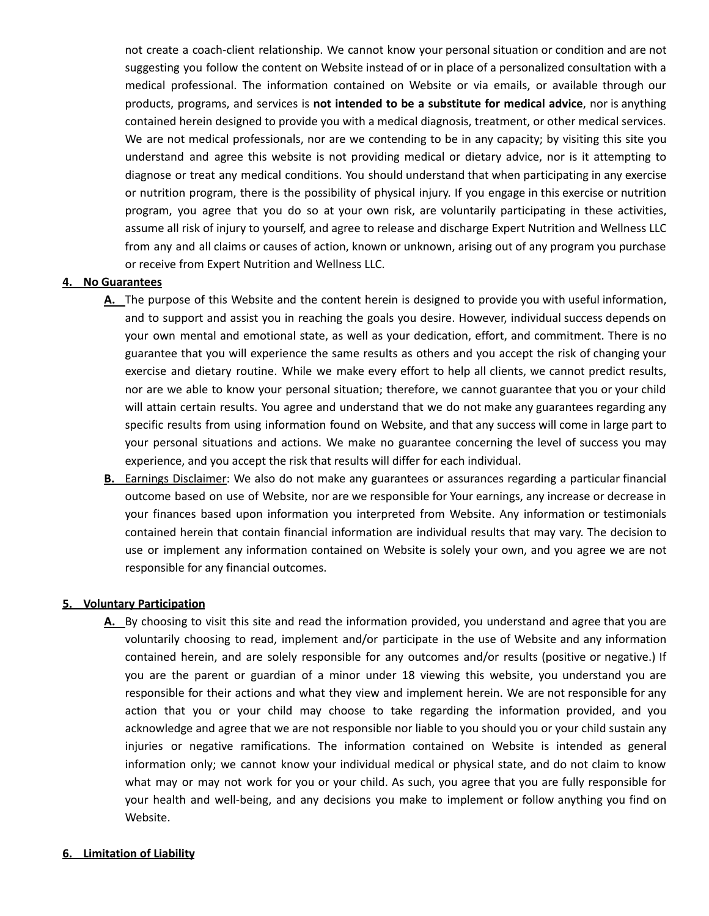not create a coach-client relationship. We cannot know your personal situation or condition and are not suggesting you follow the content on Website instead of or in place of a personalized consultation with a medical professional. The information contained on Website or via emails, or available through our products, programs, and services is **not intended to be a substitute for medical advice**, nor is anything contained herein designed to provide you with a medical diagnosis, treatment, or other medical services. We are not medical professionals, nor are we contending to be in any capacity; by visiting this site you understand and agree this website is not providing medical or dietary advice, nor is it attempting to diagnose or treat any medical conditions. You should understand that when participating in any exercise or nutrition program, there is the possibility of physical injury. If you engage in this exercise or nutrition program, you agree that you do so at your own risk, are voluntarily participating in these activities, assume all risk of injury to yourself, and agree to release and discharge Expert Nutrition and Wellness LLC from any and all claims or causes of action, known or unknown, arising out of any program you purchase or receive from Expert Nutrition and Wellness LLC.

## **4. No Guarantees**

- **A.** The purpose of this Website and the content herein is designed to provide you with useful information, and to support and assist you in reaching the goals you desire. However, individual success depends on your own mental and emotional state, as well as your dedication, effort, and commitment. There is no guarantee that you will experience the same results as others and you accept the risk of changing your exercise and dietary routine. While we make every effort to help all clients, we cannot predict results, nor are we able to know your personal situation; therefore, we cannot guarantee that you or your child will attain certain results. You agree and understand that we do not make any guarantees regarding any specific results from using information found on Website, and that any success will come in large part to your personal situations and actions. We make no guarantee concerning the level of success you may experience, and you accept the risk that results will differ for each individual.
- **B.** Earnings Disclaimer: We also do not make any guarantees or assurances regarding a particular financial outcome based on use of Website, nor are we responsible for Your earnings, any increase or decrease in your finances based upon information you interpreted from Website. Any information or testimonials contained herein that contain financial information are individual results that may vary. The decision to use or implement any information contained on Website is solely your own, and you agree we are not responsible for any financial outcomes.

### **5. Voluntary Participation**

**A.** By choosing to visit this site and read the information provided, you understand and agree that you are voluntarily choosing to read, implement and/or participate in the use of Website and any information contained herein, and are solely responsible for any outcomes and/or results (positive or negative.) If you are the parent or guardian of a minor under 18 viewing this website, you understand you are responsible for their actions and what they view and implement herein. We are not responsible for any action that you or your child may choose to take regarding the information provided, and you acknowledge and agree that we are not responsible nor liable to you should you or your child sustain any injuries or negative ramifications. The information contained on Website is intended as general information only; we cannot know your individual medical or physical state, and do not claim to know what may or may not work for you or your child. As such, you agree that you are fully responsible for your health and well-being, and any decisions you make to implement or follow anything you find on Website.

### **6. Limitation of Liability**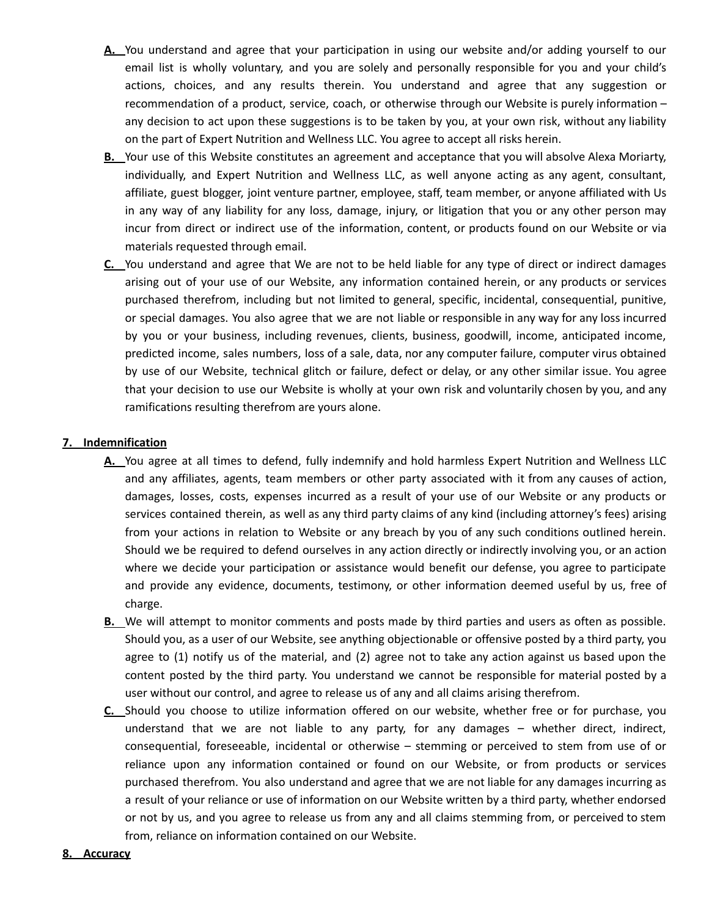- **A.** You understand and agree that your participation in using our website and/or adding yourself to our email list is wholly voluntary, and you are solely and personally responsible for you and your child's actions, choices, and any results therein. You understand and agree that any suggestion or recommendation of a product, service, coach, or otherwise through our Website is purely information – any decision to act upon these suggestions is to be taken by you, at your own risk, without any liability on the part of Expert Nutrition and Wellness LLC. You agree to accept all risks herein.
- **B.** Your use of this Website constitutes an agreement and acceptance that you will absolve Alexa Moriarty, individually, and Expert Nutrition and Wellness LLC, as well anyone acting as any agent, consultant, affiliate, guest blogger, joint venture partner, employee, staff, team member, or anyone affiliated with Us in any way of any liability for any loss, damage, injury, or litigation that you or any other person may incur from direct or indirect use of the information, content, or products found on our Website or via materials requested through email.
- **C.** You understand and agree that We are not to be held liable for any type of direct or indirect damages arising out of your use of our Website, any information contained herein, or any products or services purchased therefrom, including but not limited to general, specific, incidental, consequential, punitive, or special damages. You also agree that we are not liable or responsible in any way for any loss incurred by you or your business, including revenues, clients, business, goodwill, income, anticipated income, predicted income, sales numbers, loss of a sale, data, nor any computer failure, computer virus obtained by use of our Website, technical glitch or failure, defect or delay, or any other similar issue. You agree that your decision to use our Website is wholly at your own risk and voluntarily chosen by you, and any ramifications resulting therefrom are yours alone.

# **7. Indemnification**

- **A.** You agree at all times to defend, fully indemnify and hold harmless Expert Nutrition and Wellness LLC and any affiliates, agents, team members or other party associated with it from any causes of action, damages, losses, costs, expenses incurred as a result of your use of our Website or any products or services contained therein, as well as any third party claims of any kind (including attorney's fees) arising from your actions in relation to Website or any breach by you of any such conditions outlined herein. Should we be required to defend ourselves in any action directly or indirectly involving you, or an action where we decide your participation or assistance would benefit our defense, you agree to participate and provide any evidence, documents, testimony, or other information deemed useful by us, free of charge.
- **B.** We will attempt to monitor comments and posts made by third parties and users as often as possible. Should you, as a user of our Website, see anything objectionable or offensive posted by a third party, you agree to (1) notify us of the material, and (2) agree not to take any action against us based upon the content posted by the third party. You understand we cannot be responsible for material posted by a user without our control, and agree to release us of any and all claims arising therefrom.
- **C.** Should you choose to utilize information offered on our website, whether free or for purchase, you understand that we are not liable to any party, for any damages – whether direct, indirect, consequential, foreseeable, incidental or otherwise – stemming or perceived to stem from use of or reliance upon any information contained or found on our Website, or from products or services purchased therefrom. You also understand and agree that we are not liable for any damages incurring as a result of your reliance or use of information on our Website written by a third party, whether endorsed or not by us, and you agree to release us from any and all claims stemming from, or perceived to stem from, reliance on information contained on our Website.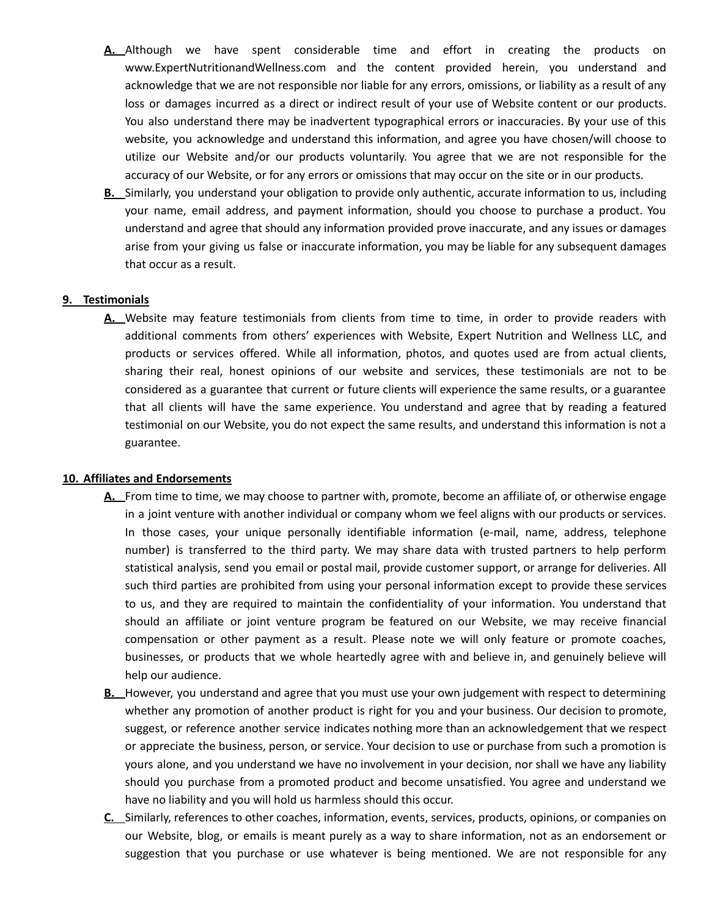- **A.** Although we have spent considerable time and effort in creating the products on www.ExpertNutritionandWellness.com and the content provided herein, you understand and acknowledge that we are not responsible nor liable for any errors, omissions, or liability as a result of any loss or damages incurred as a direct or indirect result of your use of Website content or our products. You also understand there may be inadvertent typographical errors or inaccuracies. By your use of this website, you acknowledge and understand this information, and agree you have chosen/will choose to utilize our Website and/or our products voluntarily. You agree that we are not responsible for the accuracy of our Website, or for any errors or omissions that may occur on the site or in our products.
- **B.** Similarly, you understand your obligation to provide only authentic, accurate information to us, including your name, email address, and payment information, should you choose to purchase a product. You understand and agree that should any information provided prove inaccurate, and any issues or damages arise from your giving us false or inaccurate information, you may be liable for any subsequent damages that occur as a result.

## **9. Testimonials**

**A.** Website may feature testimonials from clients from time to time, in order to provide readers with additional comments from others' experiences with Website, Expert Nutrition and Wellness LLC, and products or services offered. While all information, photos, and quotes used are from actual clients, sharing their real, honest opinions of our website and services, these testimonials are not to be considered as a guarantee that current or future clients will experience the same results, or a guarantee that all clients will have the same experience. You understand and agree that by reading a featured testimonial on our Website, you do not expect the same results, and understand this information is not a guarantee.

### **10. Affiliates and Endorsements**

- **A.** From time to time, we may choose to partner with, promote, become an affiliate of, or otherwise engage in a joint venture with another individual or company whom we feel aligns with our products or services. In those cases, your unique personally identifiable information (e-mail, name, address, telephone number) is transferred to the third party. We may share data with trusted partners to help perform statistical analysis, send you email or postal mail, provide customer support, or arrange for deliveries. All such third parties are prohibited from using your personal information except to provide these services to us, and they are required to maintain the confidentiality of your information. You understand that should an affiliate or joint venture program be featured on our Website, we may receive financial compensation or other payment as a result. Please note we will only feature or promote coaches, businesses, or products that we whole heartedly agree with and believe in, and genuinely believe will help our audience.
- **B.** However, you understand and agree that you must use your own judgement with respect to determining whether any promotion of another product is right for you and your business. Our decision to promote, suggest, or reference another service indicates nothing more than an acknowledgement that we respect or appreciate the business, person, or service. Your decision to use or purchase from such a promotion is yours alone, and you understand we have no involvement in your decision, nor shall we have any liability should you purchase from a promoted product and become unsatisfied. You agree and understand we have no liability and you will hold us harmless should this occur.
- **C.** Similarly, references to other coaches, information, events, services, products, opinions, or companies on our Website, blog, or emails is meant purely as a way to share information, not as an endorsement or suggestion that you purchase or use whatever is being mentioned. We are not responsible for any